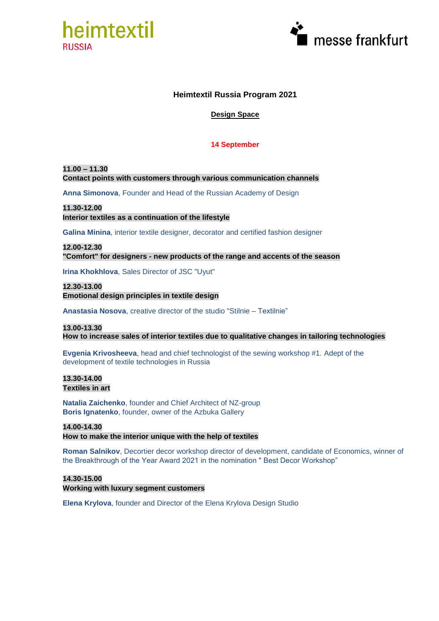



## **Heimtextil Russia Program 2021**

## **Design Space**

## **14 September**

**11.00 – 11.30 Contact points with customers through various communication channels**

**Anna Simonova**, Founder and Head of the Russian Academy of Design

**11.30-12.00 Interior textiles as a continuation of the lifestyle**

**Galina Minina**, interior textile designer, decorator and certified fashion designer

**12.00-12.30 "Comfort" for designers - new products of the range and accents of the season**

**Irina Khokhlova**, Sales Director of JSC "Uyut"

**12.30-13.00 Emotional design principles in textile design**

**Anastasia Nosova**, creative director of the studio "Stilnie – Textilnie"

**13.00-13.30 How to increase sales of interior textiles due to qualitative changes in tailoring technologies**

**Evgenia Krivosheeva**, head and chief technologist of the sewing workshop #1. Adept of the development of textile technologies in Russia

**13.30-14.00 Textiles in art**

**Natalia Zaichenko**, founder and Chief Architect of NZ-group **Boris Ignatenko**, founder, owner of the Azbuka Gallery

**14.00-14.30**

**How to make the interior unique with the help of textiles**

**Roman Salnikov**, Decortier decor workshop director of development, candidate of Economics, winner of the Breakthrough of the Year Award 2021 in the nomination " Best Decor Workshop"

**14.30-15.00 Working with luxury segment customers**

**Elena Krylova**, founder and Director of the Elena Krylova Design Studio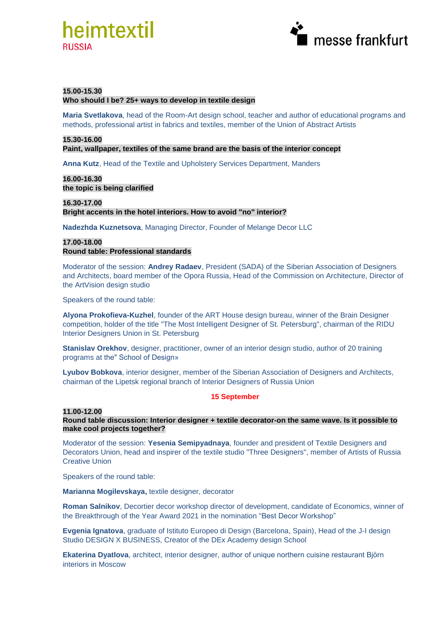



## **15.00-15.30**

#### **Who should I be? 25+ ways to develop in textile design**

**Maria Svetlakova**, head of the Room-Art design school, teacher and author of educational programs and methods, professional artist in fabrics and textiles, member of the Union of Abstract Artists

#### **15.30-16.00**

**Paint, wallpaper, textiles of the same brand are the basis of the interior concept**

**Anna Kutz**, Head of the Textile and Upholstery Services Department, Manders

**16.00-16.30 the topic is being clarified**

**16.30-17.00 Bright accents in the hotel interiors. How to avoid "no" interior?**

**Nadezhda Kuznetsova**, Managing Director, Founder of Melange Decor LLC

## **17.00-18.00 Round table: Professional standards**

Moderator of the session: **Andrey Radaev**, President (SADA) of the Siberian Association of Designers and Architects, board member of the Opora Russia, Head of the Commission on Architecture, Director of the ArtVision design studio

Speakers of the round table:

**Alyona Prokofieva-Kuzhel**, founder of the ART House design bureau, winner of the Brain Designer competition, holder of the title "The Most Intelligent Designer of St. Petersburg", chairman of the RIDU Interior Designers Union in St. Petersburg

**Stanislav Orekhov**, designer, practitioner, owner of an interior design studio, author of 20 training programs at the" School of Design»

**Lyubov Bobkova**, interior designer, member of the Siberian Association of Designers and Architects, chairman of the Lipetsk regional branch of Interior Designers of Russia Union

#### **15 September**

#### **11.00-12.00**

**Round table discussion: Interior designer + textile decorator-on the same wave. Is it possible to make cool projects together?**

Moderator of the session: **Yesenia Semipyadnaya**, founder and president of Textile Designers and Decorators Union, head and inspirer of the textile studio "Three Designers", member of Artists of Russia Creative Union

Speakers of the round table:

**Marianna Mogilevskaya,** textile designer, decorator

**Roman Salnikov**, Decortier decor workshop director of development, candidate of Economics, winner of the Breakthrough of the Year Award 2021 in the nomination "Best Decor Workshop"

**Evgenia Ignatova**, graduate of Istituto Europeo di Design (Barcelona, Spain), Head of the J-I design Studio DESIGN X BUSINESS, Creator of the DEx Academy design School

**Ekaterina Dyatlova**, architect, interior designer, author of unique northern cuisine restaurant Björn interiors in Moscow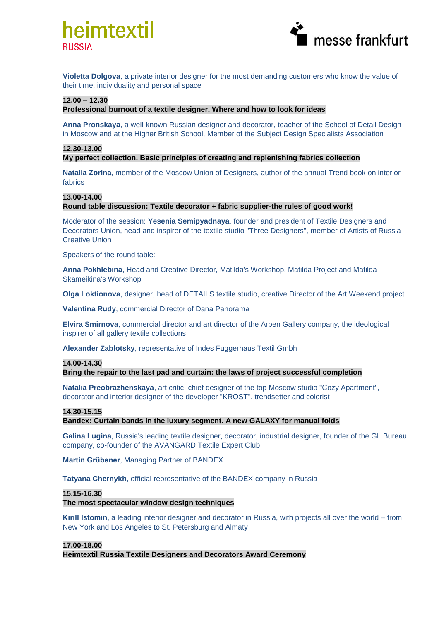# heimtextil **RUSSIA**



**Violetta Dolgova**, a private interior designer for the most demanding customers who know the value of their time, individuality and personal space

#### **12.00 – 12.30**

## **Professional burnout of a textile designer. Where and how to look for ideas**

**Anna Pronskaya**, a well-known Russian designer and decorator, teacher of the School of Detail Design in Moscow and at the Higher British School, Member of the Subject Design Specialists Association

#### **12.30-13.00**

## **My perfect collection. Basic principles of creating and replenishing fabrics collection**

**Natalia Zorina**, member of the Moscow Union of Designers, author of the annual Trend book on interior fabrics

#### **13.00-14.00**

## **Round table discussion: Textile decorator + fabric supplier-the rules of good work!**

Moderator of the session: **Yesenia Semipyadnaya**, founder and president of Textile Designers and Decorators Union, head and inspirer of the textile studio "Three Designers", member of Artists of Russia Creative Union

Speakers of the round table:

**Anna Pokhlebina**, Head and Creative Director, Matilda's Workshop, Matilda Project and Matilda Skameikina's Workshop

**Olga Loktionova**, designer, head of DETAILS textile studio, creative Director of the Art Weekend project

**Valentina Rudy**, сommercial Director of Dana Panorama

**Elvira Smirnova**, commercial director and art director of the Arben Gallery company, the ideological inspirer of all gallery textile collections

**Alexander Zablotsky**, representative of Indes Fuggerhaus Textil Gmbh

#### **14.00-14.30**

**Bring the repair to the last pad and curtain: the laws of project successful completion** 

**Natalia Preobrazhenskaya**, art critic, chief designer of the top Moscow studio "Cozy Apartment", decorator and interior designer of the developer "KROST", trendsetter and colorist

#### **14.30-15.15**

#### **Bandex: Curtain bands in the luxury segment. A new GALAXY for manual folds**

**Galina Lugina**, Russia's leading textile designer, decorator, industrial designer, founder of the GL Bureau company, co-founder of the AVANGARD Textile Expert Club

**Martin Grübener**, Managing Partner of BANDEX

**Tatyana Chernykh**, official representative of the BANDEX company in Russia

#### **15.15-16.30**

**The most spectacular window design techniques**

**Kirill Istomin**, a leading interior designer and decorator in Russia, with projects all over the world – from New York and Los Angeles to St. Petersburg and Almaty

#### **17.00-18.00**

**Heimtextil Russia Textile Designers and Decorators Award Ceremony**